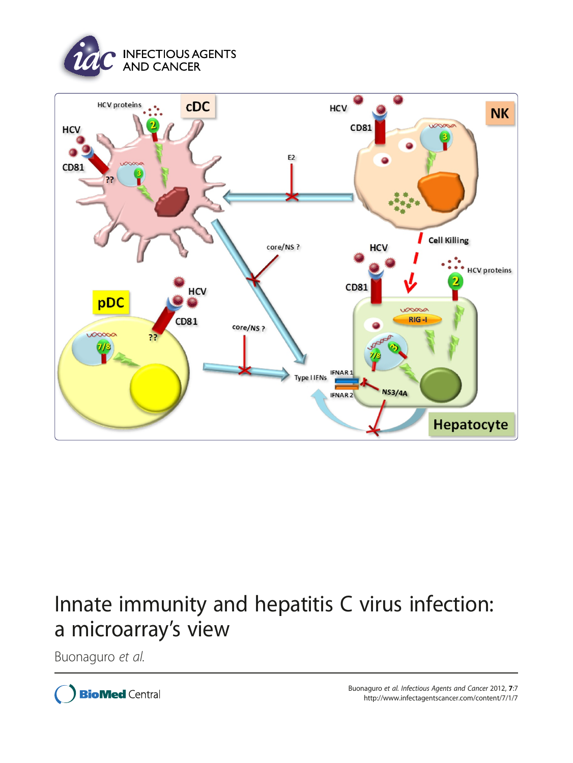



# Innate immunity and hepatitis C virus infection: a microarray's view

Buonaguro et al.

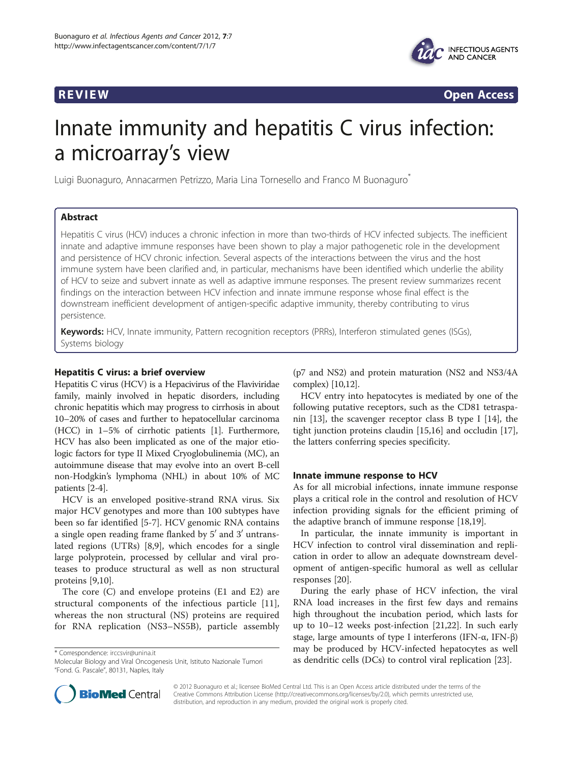

**REVIEW CONSTRUCTION CONSTRUCTION CONSTRUCTS** 

# Innate immunity and hepatitis C virus infection: a microarray's view

Luigi Buonaguro, Annacarmen Petrizzo, Maria Lina Tornesello and Franco M Buonaguro\*

# Abstract

Hepatitis C virus (HCV) induces a chronic infection in more than two-thirds of HCV infected subjects. The inefficient innate and adaptive immune responses have been shown to play a major pathogenetic role in the development and persistence of HCV chronic infection. Several aspects of the interactions between the virus and the host immune system have been clarified and, in particular, mechanisms have been identified which underlie the ability of HCV to seize and subvert innate as well as adaptive immune responses. The present review summarizes recent findings on the interaction between HCV infection and innate immune response whose final effect is the downstream inefficient development of antigen-specific adaptive immunity, thereby contributing to virus persistence.

Keywords: HCV, Innate immunity, Pattern recognition receptors (PRRs), Interferon stimulated genes (ISGs), Systems biology

# Hepatitis C virus: a brief overview

Hepatitis C virus (HCV) is a Hepacivirus of the Flaviviridae family, mainly involved in hepatic disorders, including chronic hepatitis which may progress to cirrhosis in about 10–20% of cases and further to hepatocellular carcinoma (HCC) in 1–5% of cirrhotic patients [\[1](#page-8-0)]. Furthermore, HCV has also been implicated as one of the major etiologic factors for type II Mixed Cryoglobulinemia (MC), an autoimmune disease that may evolve into an overt B-cell non-Hodgkin's lymphoma (NHL) in about 10% of MC patients [[2-4](#page-8-0)].

HCV is an enveloped positive-strand RNA virus. Six major HCV genotypes and more than 100 subtypes have been so far identified [[5-7\]](#page-8-0). HCV genomic RNA contains a single open reading frame flanked by  $5^{\prime}$  and  $3^{\prime}$  untranslated regions (UTRs) [\[8,9](#page-8-0)], which encodes for a single large polyprotein, processed by cellular and viral proteases to produce structural as well as non structural proteins [\[9,10\]](#page-8-0).

The core (C) and envelope proteins (E1 and E2) are structural components of the infectious particle [\[11](#page-8-0)], whereas the non structural (NS) proteins are required for RNA replication (NS3–NS5B), particle assembly

Molecular Biology and Viral Oncogenesis Unit, Istituto Nazionale Tumori "Fond. G. Pascale", 80131, Naples, Italy

(p7 and NS2) and protein maturation (NS2 and NS3/4A complex) [\[10,12\]](#page-8-0).

HCV entry into hepatocytes is mediated by one of the following putative receptors, such as the CD81 tetraspanin [\[13\]](#page-8-0), the scavenger receptor class B type I [[14](#page-8-0)], the tight junction proteins claudin [\[15,16\]](#page-8-0) and occludin [\[17](#page-8-0)], the latters conferring species specificity.

# Innate immune response to HCV

As for all microbial infections, innate immune response plays a critical role in the control and resolution of HCV infection providing signals for the efficient priming of the adaptive branch of immune response [\[18,19](#page-8-0)].

In particular, the innate immunity is important in HCV infection to control viral dissemination and replication in order to allow an adequate downstream development of antigen-specific humoral as well as cellular responses [\[20](#page-8-0)].

During the early phase of HCV infection, the viral RNA load increases in the first few days and remains high throughout the incubation period, which lasts for up to 10–12 weeks post-infection [[21,](#page-8-0)[22\]](#page-9-0). In such early stage, large amounts of type I interferons (IFN-α, IFN-β) may be produced by HCV-infected hepatocytes as well and y be produced by FIC v-inflected flepatocytes as we<br>Molecular Biology and Viral Oncogenesis Unit, Istituto Nazionale Tumori **as dendritic cells (DCs) to control viral replication** [\[23\]](#page-9-0).



© 2012 Buonaguro et al.; licensee BioMed Central Ltd. This is an Open Access article distributed under the terms of the Creative Commons Attribution License (<http://creativecommons.org/licenses/by/2.0>), which permits unrestricted use, distribution, and reproduction in any medium, provided the original work is properly cited.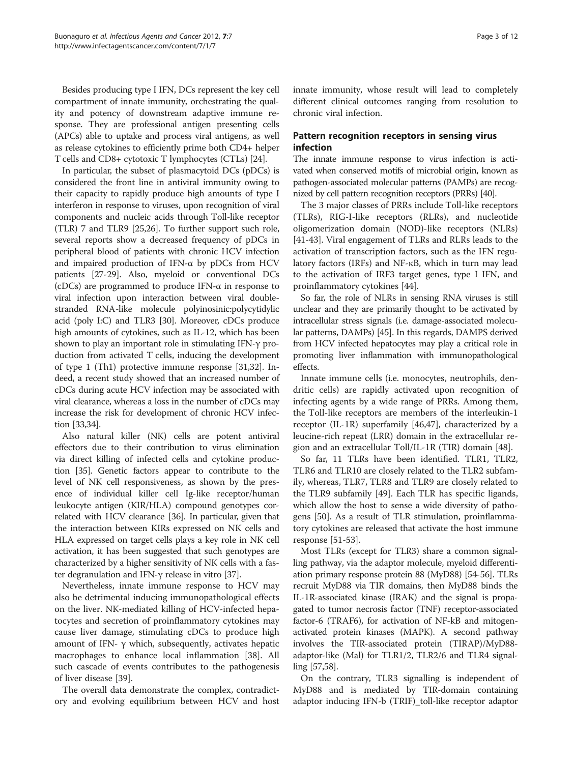Besides producing type I IFN, DCs represent the key cell compartment of innate immunity, orchestrating the quality and potency of downstream adaptive immune response. They are professional antigen presenting cells (APCs) able to uptake and process viral antigens, as well as release cytokines to efficiently prime both CD4+ helper T cells and CD8+ cytotoxic T lymphocytes (CTLs) [\[24\]](#page-9-0).

In particular, the subset of plasmacytoid DCs (pDCs) is considered the front line in antiviral immunity owing to their capacity to rapidly produce high amounts of type I interferon in response to viruses, upon recognition of viral components and nucleic acids through Toll-like receptor (TLR) 7 and TLR9 [\[25,26\]](#page-9-0). To further support such role, several reports show a decreased frequency of pDCs in peripheral blood of patients with chronic HCV infection and impaired production of IFN-α by pDCs from HCV patients [\[27-29](#page-9-0)]. Also, myeloid or conventional DCs (cDCs) are programmed to produce IFN- $\alpha$  in response to viral infection upon interaction between viral doublestranded RNA-like molecule polyinosinic:polycytidylic acid (poly I:C) and TLR3 [[30](#page-9-0)]. Moreover, cDCs produce high amounts of cytokines, such as IL-12, which has been shown to play an important role in stimulating IFN-γ production from activated T cells, inducing the development of type 1 (Th1) protective immune response [\[31,32](#page-9-0)]. Indeed, a recent study showed that an increased number of cDCs during acute HCV infection may be associated with viral clearance, whereas a loss in the number of cDCs may increase the risk for development of chronic HCV infection [\[33,34\]](#page-9-0).

Also natural killer (NK) cells are potent antiviral effectors due to their contribution to virus elimination via direct killing of infected cells and cytokine production [\[35](#page-9-0)]. Genetic factors appear to contribute to the level of NK cell responsiveness, as shown by the presence of individual killer cell Ig-like receptor/human leukocyte antigen (KIR/HLA) compound genotypes correlated with HCV clearance [\[36\]](#page-9-0). In particular, given that the interaction between KIRs expressed on NK cells and HLA expressed on target cells plays a key role in NK cell activation, it has been suggested that such genotypes are characterized by a higher sensitivity of NK cells with a faster degranulation and IFN-γ release in vitro [\[37\]](#page-9-0).

Nevertheless, innate immune response to HCV may also be detrimental inducing immunopathological effects on the liver. NK-mediated killing of HCV-infected hepatocytes and secretion of proinflammatory cytokines may cause liver damage, stimulating cDCs to produce high amount of IFN-  $γ$  which, subsequently, activates hepatic macrophages to enhance local inflammation [[38](#page-9-0)]. All such cascade of events contributes to the pathogenesis of liver disease [[39\]](#page-9-0).

The overall data demonstrate the complex, contradictory and evolving equilibrium between HCV and host innate immunity, whose result will lead to completely different clinical outcomes ranging from resolution to chronic viral infection.

# Pattern recognition receptors in sensing virus infection

The innate immune response to virus infection is activated when conserved motifs of microbial origin, known as pathogen-associated molecular patterns (PAMPs) are recognized by cell pattern recognition receptors (PRRs) [\[40\]](#page-9-0).

The 3 major classes of PRRs include Toll-like receptors (TLRs), RIG-I-like receptors (RLRs), and nucleotide oligomerization domain (NOD)-like receptors (NLRs) [[41-43](#page-9-0)]. Viral engagement of TLRs and RLRs leads to the activation of transcription factors, such as the IFN regulatory factors (IRFs) and NF-κB, which in turn may lead to the activation of IRF3 target genes, type I IFN, and proinflammatory cytokines [\[44](#page-9-0)].

So far, the role of NLRs in sensing RNA viruses is still unclear and they are primarily thought to be activated by intracellular stress signals (i.e. damage-associated molecular patterns, DAMPs) [\[45](#page-9-0)]. In this regards, DAMPS derived from HCV infected hepatocytes may play a critical role in promoting liver inflammation with immunopathological effects.

Innate immune cells (i.e. monocytes, neutrophils, dendritic cells) are rapidly activated upon recognition of infecting agents by a wide range of PRRs. Among them, the Toll-like receptors are members of the interleukin-1 receptor (IL-1R) superfamily [\[46,47\]](#page-9-0), characterized by a leucine-rich repeat (LRR) domain in the extracellular region and an extracellular Toll/IL-1R (TIR) domain [\[48](#page-9-0)].

So far, 11 TLRs have been identified. TLR1, TLR2, TLR6 and TLR10 are closely related to the TLR2 subfamily, whereas, TLR7, TLR8 and TLR9 are closely related to the TLR9 subfamily [\[49](#page-9-0)]. Each TLR has specific ligands, which allow the host to sense a wide diversity of pathogens [[50\]](#page-9-0). As a result of TLR stimulation, proinflammatory cytokines are released that activate the host immune response [\[51](#page-9-0)-[53\]](#page-9-0).

Most TLRs (except for TLR3) share a common signalling pathway, via the adaptor molecule, myeloid differentiation primary response protein 88 (MyD88) [\[54-56\]](#page-9-0). TLRs recruit MyD88 via TIR domains, then MyD88 binds the IL-1R-associated kinase (IRAK) and the signal is propagated to tumor necrosis factor (TNF) receptor-associated factor-6 (TRAF6), for activation of NF-kB and mitogenactivated protein kinases (MAPK). A second pathway involves the TIR-associated protein (TIRAP)/MyD88 adaptor-like (Mal) for TLR1/2, TLR2/6 and TLR4 signalling [\[57,58\]](#page-9-0).

On the contrary, TLR3 signalling is independent of MyD88 and is mediated by TIR-domain containing adaptor inducing IFN-b (TRIF)\_toll-like receptor adaptor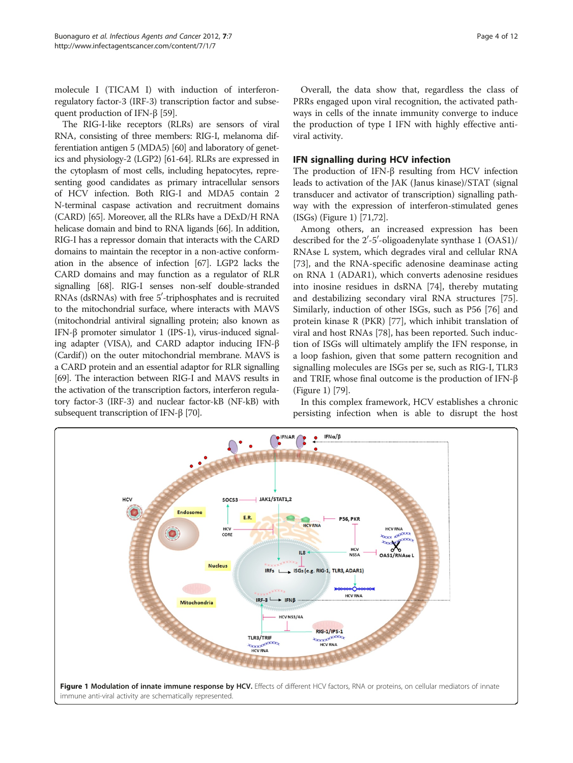<span id="page-3-0"></span>molecule I (TICAM I) with induction of interferonregulatory factor-3 (IRF-3) transcription factor and subsequent production of IFN-β [\[59\]](#page-9-0).

The RIG-I-like receptors (RLRs) are sensors of viral RNA, consisting of three members: RIG-I, melanoma differentiation antigen 5 (MDA5) [[60](#page-9-0)] and laboratory of genetics and physiology-2 (LGP2) [[61-64\]](#page-9-0). RLRs are expressed in the cytoplasm of most cells, including hepatocytes, representing good candidates as primary intracellular sensors of HCV infection. Both RIG-I and MDA5 contain 2 N-terminal caspase activation and recruitment domains (CARD) [[65](#page-9-0)]. Moreover, all the RLRs have a DExD/H RNA helicase domain and bind to RNA ligands [[66](#page-10-0)]. In addition, RIG-I has a repressor domain that interacts with the CARD domains to maintain the receptor in a non-active conformation in the absence of infection [\[67\]](#page-10-0). LGP2 lacks the CARD domains and may function as a regulator of RLR signalling [\[68](#page-10-0)]. RIG-I senses non-self double-stranded RNAs (dsRNAs) with free 5'-triphosphates and is recruited to the mitochondrial surface, where interacts with MAVS (mitochondrial antiviral signalling protein; also known as IFN-β promoter simulator 1 (IPS-1), virus-induced signaling adapter (VISA), and CARD adaptor inducing IFN-β (Cardif )) on the outer mitochondrial membrane. MAVS is a CARD protein and an essential adaptor for RLR signalling [[69](#page-10-0)]. The interaction between RIG-I and MAVS results in the activation of the transcription factors, interferon regulatory factor-3 (IRF-3) and nuclear factor-kB (NF-kB) with subsequent transcription of IFN-β [[70\]](#page-10-0).

Overall, the data show that, regardless the class of PRRs engaged upon viral recognition, the activated pathways in cells of the innate immunity converge to induce the production of type I IFN with highly effective antiviral activity.

# IFN signalling during HCV infection

The production of IFN-β resulting from HCV infection leads to activation of the JAK (Janus kinase)/STAT (signal transducer and activator of transcription) signalling pathway with the expression of interferon-stimulated genes (ISGs) (Figure 1) [[71,72](#page-10-0)].

Among others, an increased expression has been described for the  $2'$ -5'-oligoadenylate synthase 1 (OAS1)/ RNAse L system, which degrades viral and cellular RNA [[73\]](#page-10-0), and the RNA-specific adenosine deaminase acting on RNA 1 (ADAR1), which converts adenosine residues into inosine residues in dsRNA [[74\]](#page-10-0), thereby mutating and destabilizing secondary viral RNA structures [\[75](#page-10-0)]. Similarly, induction of other ISGs, such as P56 [\[76\]](#page-10-0) and protein kinase R (PKR) [\[77\]](#page-10-0), which inhibit translation of viral and host RNAs [\[78](#page-10-0)], has been reported. Such induction of ISGs will ultimately amplify the IFN response, in a loop fashion, given that some pattern recognition and signalling molecules are ISGs per se, such as RIG-I, TLR3 and TRIF, whose final outcome is the production of IFN-β (Figure 1) [\[79\]](#page-10-0).

In this complex framework, HCV establishes a chronic persisting infection when is able to disrupt the host

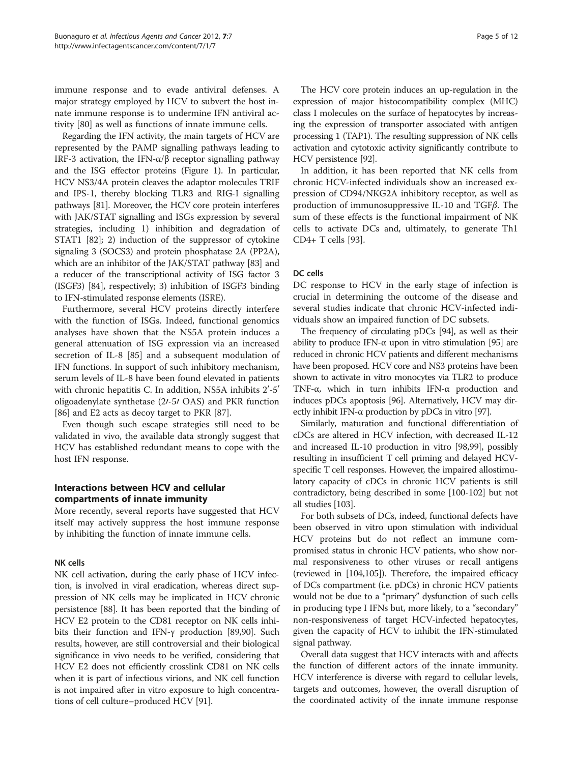immune response and to evade antiviral defenses. A major strategy employed by HCV to subvert the host innate immune response is to undermine IFN antiviral activity [\[80\]](#page-10-0) as well as functions of innate immune cells.

Regarding the IFN activity, the main targets of HCV are represented by the PAMP signalling pathways leading to IRF-3 activation, the IFN-α/β receptor signalling pathway and the ISG effector proteins (Figure [1\)](#page-3-0). In particular, HCV NS3/4A protein cleaves the adaptor molecules TRIF and IPS-1, thereby blocking TLR3 and RIG-I signalling pathways [[81](#page-10-0)]. Moreover, the HCV core protein interferes with JAK/STAT signalling and ISGs expression by several strategies, including 1) inhibition and degradation of STAT1 [[82](#page-10-0)]; 2) induction of the suppressor of cytokine signaling 3 (SOCS3) and protein phosphatase 2A (PP2A), which are an inhibitor of the JAK/STAT pathway [\[83\]](#page-10-0) and a reducer of the transcriptional activity of ISG factor 3 (ISGF3) [[84](#page-10-0)], respectively; 3) inhibition of ISGF3 binding to IFN-stimulated response elements (ISRE).

Furthermore, several HCV proteins directly interfere with the function of ISGs. Indeed, functional genomics analyses have shown that the NS5A protein induces a general attenuation of ISG expression via an increased secretion of IL-8 [\[85](#page-10-0)] and a subsequent modulation of IFN functions. In support of such inhibitory mechanism, serum levels of IL-8 have been found elevated in patients with chronic hepatitis C. In addition, NS5A inhibits  $2^{\prime}\text{-}5^{\prime}$ oligoadenylate synthetase  $(2t-5t)$  OAS) and PKR function [[86\]](#page-10-0) and E2 acts as decoy target to PKR [[87](#page-10-0)].

Even though such escape strategies still need to be validated in vivo, the available data strongly suggest that HCV has established redundant means to cope with the host IFN response.

# Interactions between HCV and cellular compartments of innate immunity

More recently, several reports have suggested that HCV itself may actively suppress the host immune response by inhibiting the function of innate immune cells.

### NK cells

NK cell activation, during the early phase of HCV infection, is involved in viral eradication, whereas direct suppression of NK cells may be implicated in HCV chronic persistence [[88](#page-10-0)]. It has been reported that the binding of HCV E2 protein to the CD81 receptor on NK cells inhibits their function and IFN-γ production [\[89,90\]](#page-10-0). Such results, however, are still controversial and their biological significance in vivo needs to be verified, considering that HCV E2 does not efficiently crosslink CD81 on NK cells when it is part of infectious virions, and NK cell function is not impaired after in vitro exposure to high concentrations of cell culture–produced HCV [[91](#page-10-0)].

The HCV core protein induces an up-regulation in the expression of major histocompatibility complex (MHC) class I molecules on the surface of hepatocytes by increasing the expression of transporter associated with antigen processing 1 (TAP1). The resulting suppression of NK cells activation and cytotoxic activity significantly contribute to HCV persistence [\[92\]](#page-10-0).

In addition, it has been reported that NK cells from chronic HCV-infected individuals show an increased expression of CD94/NKG2A inhibitory receptor, as well as production of immunosuppressive IL-10 and TGFβ. The sum of these effects is the functional impairment of NK cells to activate DCs and, ultimately, to generate Th1 CD4+ T cells [\[93](#page-10-0)].

### DC cells

DC response to HCV in the early stage of infection is crucial in determining the outcome of the disease and several studies indicate that chronic HCV-infected individuals show an impaired function of DC subsets.

The frequency of circulating pDCs [\[94\]](#page-10-0), as well as their ability to produce IFN-α upon in vitro stimulation [\[95](#page-10-0)] are reduced in chronic HCV patients and different mechanisms have been proposed. HCV core and NS3 proteins have been shown to activate in vitro monocytes via TLR2 to produce TNF-α, which in turn inhibits IFN-α production and induces pDCs apoptosis [\[96](#page-10-0)]. Alternatively, HCV may directly inhibit IFN- $\alpha$  production by pDCs in vitro [[97](#page-10-0)].

Similarly, maturation and functional differentiation of cDCs are altered in HCV infection, with decreased IL-12 and increased IL-10 production in vitro [\[98,99\]](#page-10-0), possibly resulting in insufficient T cell priming and delayed HCVspecific T cell responses. However, the impaired allostimulatory capacity of cDCs in chronic HCV patients is still contradictory, being described in some [\[100-102\]](#page-10-0) but not all studies [[103](#page-10-0)].

For both subsets of DCs, indeed, functional defects have been observed in vitro upon stimulation with individual HCV proteins but do not reflect an immune compromised status in chronic HCV patients, who show normal responsiveness to other viruses or recall antigens (reviewed in [[104,105\]](#page-10-0)). Therefore, the impaired efficacy of DCs compartment (i.e. pDCs) in chronic HCV patients would not be due to a "primary" dysfunction of such cells in producing type I IFNs but, more likely, to a "secondary" non-responsiveness of target HCV-infected hepatocytes, given the capacity of HCV to inhibit the IFN-stimulated signal pathway.

Overall data suggest that HCV interacts with and affects the function of different actors of the innate immunity. HCV interference is diverse with regard to cellular levels, targets and outcomes, however, the overall disruption of the coordinated activity of the innate immune response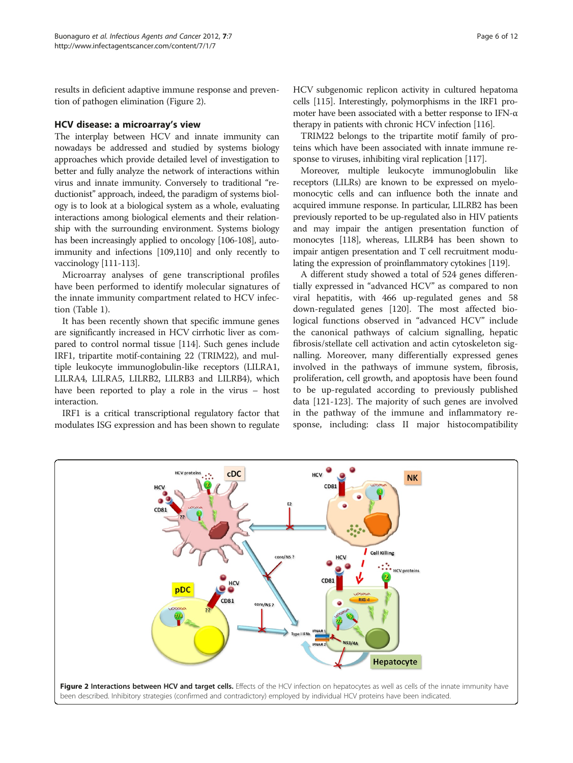results in deficient adaptive immune response and prevention of pathogen elimination (Figure 2).

### HCV disease: a microarray's view

The interplay between HCV and innate immunity can nowadays be addressed and studied by systems biology approaches which provide detailed level of investigation to better and fully analyze the network of interactions within virus and innate immunity. Conversely to traditional "reductionist" approach, indeed, the paradigm of systems biology is to look at a biological system as a whole, evaluating interactions among biological elements and their relationship with the surrounding environment. Systems biology has been increasingly applied to oncology [\[106-108](#page-10-0)], autoimmunity and infections [\[109,110\]](#page-11-0) and only recently to vaccinology [\[111-113](#page-11-0)].

Microarray analyses of gene transcriptional profiles have been performed to identify molecular signatures of the innate immunity compartment related to HCV infection (Table [1](#page-6-0)).

It has been recently shown that specific immune genes are significantly increased in HCV cirrhotic liver as compared to control normal tissue [[114](#page-11-0)]. Such genes include IRF1, tripartite motif-containing 22 (TRIM22), and multiple leukocyte immunoglobulin-like receptors (LILRA1, LILRA4, LILRA5, LILRB2, LILRB3 and LILRB4), which have been reported to play a role in the virus – host interaction.

IRF1 is a critical transcriptional regulatory factor that modulates ISG expression and has been shown to regulate HCV subgenomic replicon activity in cultured hepatoma cells [\[115](#page-11-0)]. Interestingly, polymorphisms in the IRF1 promoter have been associated with a better response to IFN-α therapy in patients with chronic HCV infection [\[116\]](#page-11-0).

TRIM22 belongs to the tripartite motif family of proteins which have been associated with innate immune re-sponse to viruses, inhibiting viral replication [\[117\]](#page-11-0).

Moreover, multiple leukocyte immunoglobulin like receptors (LILRs) are known to be expressed on myelomonocytic cells and can influence both the innate and acquired immune response. In particular, LILRB2 has been previously reported to be up-regulated also in HIV patients and may impair the antigen presentation function of monocytes [\[118](#page-11-0)], whereas, LILRB4 has been shown to impair antigen presentation and T cell recruitment modulating the expression of proinflammatory cytokines [[119](#page-11-0)].

A different study showed a total of 524 genes differentially expressed in "advanced HCV" as compared to non viral hepatitis, with 466 up-regulated genes and 58 down-regulated genes [[120](#page-11-0)]. The most affected biological functions observed in "advanced HCV" include the canonical pathways of calcium signalling, hepatic fibrosis/stellate cell activation and actin cytoskeleton signalling. Moreover, many differentially expressed genes involved in the pathways of immune system, fibrosis, proliferation, cell growth, and apoptosis have been found to be up-regulated according to previously published data [[121-123\]](#page-11-0). The majority of such genes are involved in the pathway of the immune and inflammatory response, including: class II major histocompatibility

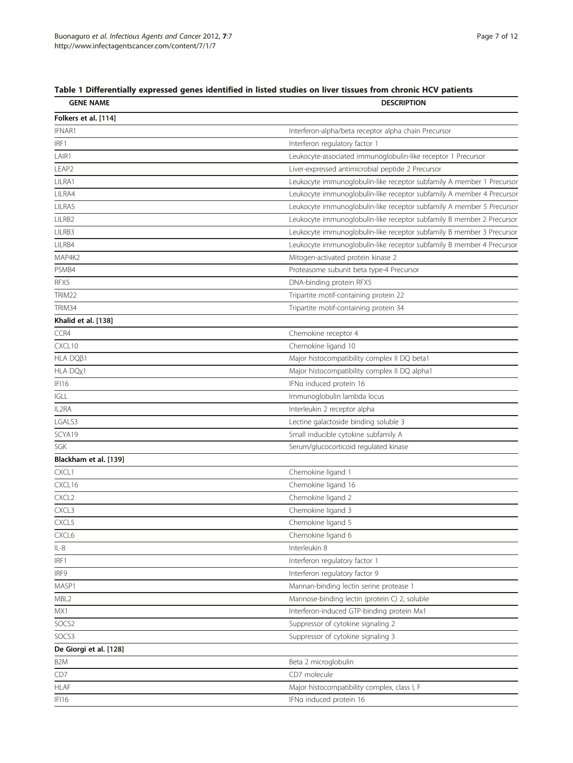# <span id="page-6-0"></span>Table 1 Differentially expressed genes identified in listed studies on liver tissues from chronic HCV patients

| <b>GENE NAME</b>       | <b>DESCRIPTION</b>                                                    |
|------------------------|-----------------------------------------------------------------------|
| Folkers et al. [114]   |                                                                       |
| IFNAR1                 | Interferon-alpha/beta receptor alpha chain Precursor                  |
| IRF1                   | Interferon regulatory factor 1                                        |
| LAIR1                  | Leukocyte-associated immunoglobulin-like receptor 1 Precursor         |
| LEAP2                  | Liver-expressed antimicrobial peptide 2 Precursor                     |
| LILRA1                 | Leukocyte immunoglobulin-like receptor subfamily A member 1 Precursor |
| LILRA4                 | Leukocyte immunoglobulin-like receptor subfamily A member 4 Precursor |
| LILRA5                 | Leukocyte immunoglobulin-like receptor subfamily A member 5 Precursor |
| LILRB2                 | Leukocyte immunoglobulin-like receptor subfamily B member 2 Precursor |
| LILRB3                 | Leukocyte immunoglobulin-like receptor subfamily B member 3 Precursor |
| LILRB4                 | Leukocyte immunoglobulin-like receptor subfamily B member 4 Precursor |
| MAP4K2                 | Mitogen-activated protein kinase 2                                    |
| PSMB4                  | Proteasome subunit beta type-4 Precursor                              |
| RFX5                   | DNA-binding protein RFX5                                              |
| TRIM22                 | Tripartite motif-containing protein 22                                |
| TRIM34                 | Tripartite motif-containing protein 34                                |
| Khalid et al. [138]    |                                                                       |
| CCR4                   | Chemokine receptor 4                                                  |
| CXCL10                 | Chemokine ligand 10                                                   |
| HLA DQβ1               | Major histocompatibility complex II DQ beta1                          |
| HLA DQ <sub>X</sub> 1  | Major histocompatibility complex II DQ alpha1                         |
| IFI16                  | IFNa induced protein 16                                               |
| <b>IGLL</b>            | Immunoglobulin lambda locus                                           |
| IL2RA                  | Interleukin 2 receptor alpha                                          |
| LGALS3                 | Lectine galactoside binding soluble 3                                 |
| SCYA19                 | Small inducible cytokine subfamily A                                  |
| SGK                    | Serum/glucocorticoid regulated kinase                                 |
| Blackham et al. [139]  |                                                                       |
| CXCL1                  | Chemokine ligand 1                                                    |
| CXCL16                 | Chemokine ligand 16                                                   |
| CXCL <sub>2</sub>      | Chemokine ligand 2                                                    |
| CXCL3                  | Chemokine ligand 3                                                    |
| CXCL5                  | Chemokine ligand 5                                                    |
| CXCL6                  | Chemokine ligand 6                                                    |
| IL-8                   | Interleukin 8                                                         |
| IRF1                   | Interferon regulatory factor 1                                        |
| IRF9                   | Interferon regulatory factor 9                                        |
| MASP1                  | Mannan-binding lectin serine protease 1                               |
| MBL2                   | Mannose-binding lectin (protein C) 2, soluble                         |
| MX1                    | Interferon-induced GTP-binding protein Mx1                            |
| SOCS2                  | Suppressor of cytokine signaling 2                                    |
| SOCS3                  | Suppressor of cytokine signaling 3                                    |
| De Giorgi et al. [128] |                                                                       |
| B <sub>2</sub> M       | Beta 2 microglobulin                                                  |
| CD7                    | CD7 molecule                                                          |
| <b>HLAF</b>            | Major histocompatibility complex, class I, F                          |
| IFI16                  | IFNa induced protein 16                                               |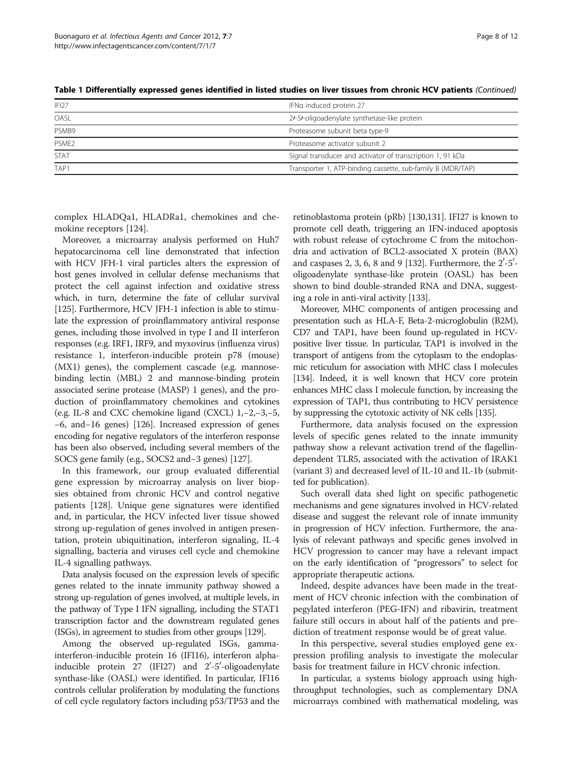| IFI27             | IFNa induced protein 27                                     |
|-------------------|-------------------------------------------------------------|
| OASL              | 2/-5/-oligoadenylate synthetase-like protein                |
| PSMB9             | Proteasome subunit beta type-9                              |
| PSME <sub>2</sub> | Proteasome activator subunit 2                              |
| <b>STAT</b>       | Signal transducer and activator of transcription 1, 91 kDa  |
| TAP1              | Transporter 1, ATP-binding cassette, sub-family B (MDR/TAP) |

Table 1 Differentially expressed genes identified in listed studies on liver tissues from chronic HCV patients (Continued)

complex HLADQa1, HLADRa1, chemokines and chemokine receptors [\[124\]](#page-11-0).

Moreover, a microarray analysis performed on Huh7 hepatocarcinoma cell line demonstrated that infection with HCV JFH-1 viral particles alters the expression of host genes involved in cellular defense mechanisms that protect the cell against infection and oxidative stress which, in turn, determine the fate of cellular survival [[125](#page-11-0)]. Furthermore, HCV JFH-1 infection is able to stimulate the expression of proinflammatory antiviral response genes, including those involved in type I and II interferon responses (e.g. IRF1, IRF9, and myxovirus (influenza virus) resistance 1, interferon-inducible protein p78 (mouse) (MX1) genes), the complement cascade (e.g. mannosebinding lectin (MBL) 2 and mannose-binding protein associated serine protease (MASP) 1 genes), and the production of proinflammatory chemokines and cytokines (e.g. IL-8 and CXC chemokine ligand (CXCL) 1,−2,−3,−5, −6, and−16 genes) [[126](#page-11-0)]. Increased expression of genes encoding for negative regulators of the interferon response has been also observed, including several members of the SOCS gene family (e.g., SOCS2 and−3 genes) [\[127\]](#page-11-0).

In this framework, our group evaluated differential gene expression by microarray analysis on liver biopsies obtained from chronic HCV and control negative patients [\[128\]](#page-11-0). Unique gene signatures were identified and, in particular, the HCV infected liver tissue showed strong up-regulation of genes involved in antigen presentation, protein ubiquitination, interferon signaling, IL-4 signalling, bacteria and viruses cell cycle and chemokine IL-4 signalling pathways.

Data analysis focused on the expression levels of specific genes related to the innate immunity pathway showed a strong up-regulation of genes involved, at multiple levels, in the pathway of Type I IFN signalling, including the STAT1 transcription factor and the downstream regulated genes (ISGs), in agreement to studies from other groups [\[129](#page-11-0)].

Among the observed up-regulated ISGs, gammainterferon-inducible protein 16 (IFI16), interferon alphainducible protein 27 (IFI27) and 2'-5'-oligoadenylate synthase-like (OASL) were identified. In particular, IFI16 controls cellular proliferation by modulating the functions of cell cycle regulatory factors including p53/TP53 and the

retinoblastoma protein (pRb) [[130,131\]](#page-11-0). IFI27 is known to promote cell death, triggering an IFN-induced apoptosis with robust release of cytochrome C from the mitochondria and activation of BCL2-associated X protein (BAX) and caspases 2, 3, 6, 8 and 9 [\[132\]](#page-11-0). Furthermore, the  $2'$ -5'oligoadenylate synthase-like protein (OASL) has been shown to bind double-stranded RNA and DNA, suggesting a role in anti-viral activity [[133](#page-11-0)].

Moreover, MHC components of antigen processing and presentation such as HLA-F, Beta-2-microglobulin (B2M), CD7 and TAP1, have been found up-regulated in HCVpositive liver tissue. In particular, TAP1 is involved in the transport of antigens from the cytoplasm to the endoplasmic reticulum for association with MHC class I molecules [[134\]](#page-11-0). Indeed, it is well known that HCV core protein enhances MHC class I molecule function, by increasing the expression of TAP1, thus contributing to HCV persistence by suppressing the cytotoxic activity of NK cells [\[135](#page-11-0)].

Furthermore, data analysis focused on the expression levels of specific genes related to the innate immunity pathway show a relevant activation trend of the flagellindependent TLR5, associated with the activation of IRAK1 (variant 3) and decreased level of IL-10 and IL-1b (submitted for publication).

Such overall data shed light on specific pathogenetic mechanisms and gene signatures involved in HCV-related disease and suggest the relevant role of innate immunity in progression of HCV infection. Furthermore, the analysis of relevant pathways and specific genes involved in HCV progression to cancer may have a relevant impact on the early identification of "progressors" to select for appropriate therapeutic actions.

Indeed, despite advances have been made in the treatment of HCV chronic infection with the combination of pegylated interferon (PEG-IFN) and ribavirin, treatment failure still occurs in about half of the patients and prediction of treatment response would be of great value.

In this perspective, several studies employed gene expression profiling analysis to investigate the molecular basis for treatment failure in HCV chronic infection.

In particular, a systems biology approach using highthroughput technologies, such as complementary DNA microarrays combined with mathematical modeling, was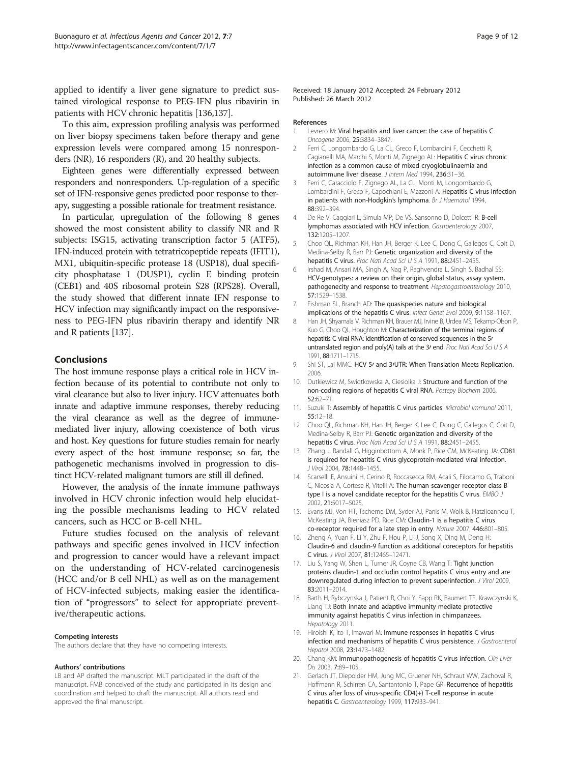<span id="page-8-0"></span>applied to identify a liver gene signature to predict sustained virological response to PEG-IFN plus ribavirin in patients with HCV chronic hepatitis [\[136,137](#page-11-0)].

To this aim, expression profiling analysis was performed on liver biopsy specimens taken before therapy and gene expression levels were compared among 15 nonresponders (NR), 16 responders (R), and 20 healthy subjects.

Eighteen genes were differentially expressed between responders and nonresponders. Up-regulation of a specific set of IFN-responsive genes predicted poor response to therapy, suggesting a possible rationale for treatment resistance.

In particular, upregulation of the following 8 genes showed the most consistent ability to classify NR and R subjects: ISG15, activating transcription factor 5 (ATF5), IFN-induced protein with tetratricopeptide repeats (IFIT1), MX1, ubiquitin-specific protease 18 (USP18), dual specificity phosphatase 1 (DUSP1), cyclin E binding protein (CEB1) and 40S ribosomal protein S28 (RPS28). Overall, the study showed that different innate IFN response to HCV infection may significantly impact on the responsiveness to PEG-IFN plus ribavirin therapy and identify NR and R patients [\[137](#page-11-0)].

# Conclusions

The host immune response plays a critical role in HCV infection because of its potential to contribute not only to viral clearance but also to liver injury. HCV attenuates both innate and adaptive immune responses, thereby reducing the viral clearance as well as the degree of immunemediated liver injury, allowing coexistence of both virus and host. Key questions for future studies remain for nearly every aspect of the host immune response; so far, the pathogenetic mechanisms involved in progression to distinct HCV-related malignant tumors are still ill defined.

However, the analysis of the innate immune pathways involved in HCV chronic infection would help elucidating the possible mechanisms leading to HCV related cancers, such as HCC or B-cell NHL.

Future studies focused on the analysis of relevant pathways and specific genes involved in HCV infection and progression to cancer would have a relevant impact on the understanding of HCV-related carcinogenesis (HCC and/or B cell NHL) as well as on the management of HCV-infected subjects, making easier the identification of "progressors" to select for appropriate preventive/therapeutic actions.

#### Competing interests

The authors declare that they have no competing interests.

#### Authors' contributions

LB and AP drafted the manuscript. MLT participated in the draft of the manuscript. FMB conceived of the study and participated in its design and coordination and helped to draft the manuscript. All authors read and approved the final manuscript.

Received: 18 January 2012 Accepted: 24 February 2012 Published: 26 March 2012

#### References

- 1. Levrero M: Viral hepatitis and liver cancer: the case of hepatitis C Oncogene 2006, 25:3834–3847.
- 2. Ferri C, Longombardo G, La CL, Greco F, Lombardini F, Cecchetti R, Cagianelli MA, Marchi S, Monti M, Zignego AL: Hepatitis C virus chronic infection as a common cause of mixed cryoglobulinaemia and autoimmune liver disease. J Intern Med 1994, 236:31–36.
- 3. Ferri C, Caracciolo F, Zignego AL, La CL, Monti M, Longombardo G, Lombardini F, Greco F, Capochiani E, Mazzoni A: Hepatitis C virus infection in patients with non-Hodgkin's lymphoma. Br J Haematol 1994, 88:392–394.
- 4. De Re V, Caggiari L, Simula MP, De VS, Sansonno D, Dolcetti R: B-cell lymphomas associated with HCV infection. Gastroenterology 2007, 132:1205–1207.
- 5. Choo QL, Richman KH, Han JH, Berger K, Lee C, Dong C, Gallegos C, Coit D, Medina-Selby R, Barr PJ: Genetic organization and diversity of the hepatitis C virus. Proc Natl Acad Sci U S A 1991, 88:2451-2455.
- 6. Irshad M, Ansari MA, Singh A, Nag P, Raghvendra L, Singh S, Badhal SS: HCV-genotypes: a review on their origin, global status, assay system, pathogenecity and response to treatment. Hepatogastroenterology 2010, 57:1529–1538.
- 7. Fishman SL, Branch AD: The quasispecies nature and biological implications of the hepatitis C virus. Infect Genet Evol 2009, 9:1158–1167.
- 8. Han JH, Shyamala V, Richman KH, Brauer MJ, Irvine B, Urdea MS, Tekamp-Olson P, Kuo G, Choo QL, Houghton M: Characterization of the terminal regions of hepatitis C viral RNA: identification of conserved sequences in the 5/ untranslated region and poly(A) tails at the 3/ end. Proc Natl Acad Sci U S A 1991, 88:1711–1715.
- 9. Shi ST, Lai MMC: HCV 5/ and 3/UTR: When Translation Meets Replication. 2006.
- 10. Dutkiewicz M, Swigtkowska A, Ciesiolka J: Structure and function of the non-coding regions of hepatitis C viral RNA. Postepy Biochem 2006, 52:62–71.
- 11. Suzuki T: Assembly of hepatitis C virus particles. Microbiol Immunol 2011, 55:12–18.
- 12. Choo QL, Richman KH, Han JH, Berger K, Lee C, Dong C, Gallegos C, Coit D, Medina-Selby R, Barr PJ: Genetic organization and diversity of the hepatitis C virus. Proc Natl Acad Sci U S A 1991, 88:2451–2455.
- 13. Zhang J, Randall G, Higginbottom A, Monk P, Rice CM, McKeating JA: CD81 is required for hepatitis C virus glycoprotein-mediated viral infection. J Virol 2004, 78:1448–1455.
- 14. Scarselli E, Ansuini H, Cerino R, Roccasecca RM, Acali S, Filocamo G, Traboni C, Nicosia A, Cortese R, Vitelli A: The human scavenger receptor class B type I is a novel candidate receptor for the hepatitis C virus. EMBO J 2002, 21:5017–5025.
- 15. Evans MJ, Von HT, Tscherne DM, Syder AJ, Panis M, Wolk B, Hatziioannou T, McKeating JA, Bieniasz PD, Rice CM: Claudin-1 is a hepatitis C virus co-receptor required for a late step in entry. Nature 2007, 446:801–805.
- 16. Zheng A, Yuan F, Li Y, Zhu F, Hou P, Li J, Song X, Ding M, Deng H: Claudin-6 and claudin-9 function as additional coreceptors for hepatitis C virus. J Virol 2007, 81:12465–12471.
- 17. Liu S, Yang W, Shen L, Turner JR, Coyne CB, Wang T: Tight junction proteins claudin-1 and occludin control hepatitis C virus entry and are downregulated during infection to prevent superinfection. J Virol 2009, 83:2011–2014.
- 18. Barth H, Rybczynska J, Patient R, Choi Y, Sapp RK, Baumert TF, Krawczynski K, Liang TJ: Both innate and adaptive immunity mediate protective immunity against hepatitis C virus infection in chimpanzees. Hepatology 2011.
- 19. Hiroishi K, Ito T, Imawari M: Immune responses in hepatitis C virus infection and mechanisms of hepatitis C virus persistence. J Gastroenterol Hepatol 2008, 23:1473-1482.
- 20. Chang KM: Immunopathogenesis of hepatitis C virus infection. Clin Liver Dis 2003, 7:89–105.
- 21. Gerlach JT, Diepolder HM, Jung MC, Gruener NH, Schraut WW, Zachoval R, Hoffmann R, Schirren CA, Santantonio T, Pape GR: Recurrence of hepatitis C virus after loss of virus-specific CD4(+) T-cell response in acute hepatitis C. Gastroenterology 1999, 117:933–941.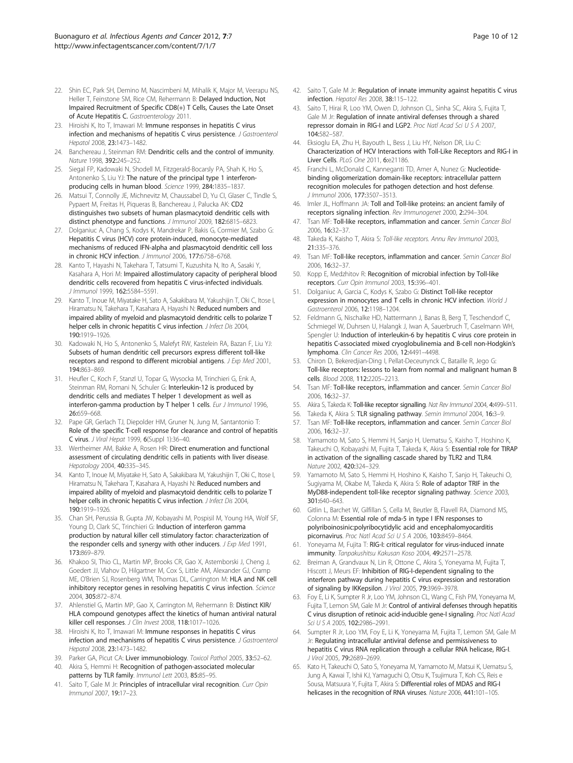- <span id="page-9-0"></span>22. Shin EC, Park SH, Demino M, Nascimbeni M, Mihalik K, Major M, Veerapu NS, Heller T, Feinstone SM, Rice CM, Rehermann B: Delayed Induction, Not Impaired Recruitment of Specific CD8(+) T Cells, Causes the Late Onset of Acute Hepatitis C. Gastroenterology 2011.
- 23. Hiroishi K, Ito T, Imawari M: Immune responses in hepatitis C virus infection and mechanisms of hepatitis C virus persistence. J Gastroenterol Hepatol 2008, 23:1473–1482.
- 24. Banchereau J, Steinman RM: Dendritic cells and the control of immunity. Nature 1998, 392:245–252.
- 25. Siegal FP, Kadowaki N, Shodell M, Fitzgerald-Bocarsly PA, Shah K, Ho S, Antonenko S, Liu YJ: The nature of the principal type 1 interferonproducing cells in human blood. Science 1999, 284:1835–1837.
- 26. Matsui T, Connolly JE, Michnevitz M, Chaussabel D, Yu CI, Glaser C, Tindle S, Pypaert M, Freitas H, Piqueras B, Banchereau J, Palucka AK: CD2 distinguishes two subsets of human plasmacytoid dendritic cells with distinct phenotype and functions. J Immunol 2009, 182:6815–6823.
- 27. Dolganiuc A, Chang S, Kodys K, Mandrekar P, Bakis G, Cormier M, Szabo G: Hepatitis C virus (HCV) core protein-induced, monocyte-mediated mechanisms of reduced IFN-alpha and plasmacytoid dendritic cell loss in chronic HCV infection. J Immunol 2006, 177:6758-6768.
- 28. Kanto T, Hayashi N, Takehara T, Tatsumi T, Kuzushita N, Ito A, Sasaki Y, Kasahara A, Hori M: Impaired allostimulatory capacity of peripheral blood dendritic cells recovered from hepatitis C virus-infected individuals. J Immunol 1999, 162:5584–5591.
- 29. Kanto T, Inoue M, Miyatake H, Sato A, Sakakibara M, Yakushijin T, Oki C, Itose I, Hiramatsu N, Takehara T, Kasahara A, Hayashi N: Reduced numbers and impaired ability of myeloid and plasmacytoid dendritic cells to polarize T helper cells in chronic hepatitis C virus infection. *J Infect Dis* 2004, 190:1919–1926.
- 30. Kadowaki N, Ho S, Antonenko S, Malefyt RW, Kastelein RA, Bazan F, Liu YJ: Subsets of human dendritic cell precursors express different toll-like receptors and respond to different microbial antigens. J Exp Med 2001, 194:863–869.
- 31. Heufler C, Koch F, Stanzl U, Topar G, Wysocka M, Trinchieri G, Enk A, Steinman RM, Romani N, Schuler G: Interleukin-12 is produced by dendritic cells and mediates T helper 1 development as well as interferon-gamma production by T helper 1 cells. Eur J Immunol 1996, 26:659–668.
- 32. Pape GR, Gerlach TJ, Diepolder HM, Gruner N, Jung M, Santantonio T: Role of the specific T-cell response for clearance and control of hepatitis C virus. J Viral Hepat 1999, 6(Suppl 1):36–40.
- 33. Wertheimer AM, Bakke A, Rosen HR: Direct enumeration and functional assessment of circulating dendritic cells in patients with liver disease. Hepatology 2004, 40:335–345.
- 34. Kanto T, Inoue M, Miyatake H, Sato A, Sakakibara M, Yakushijin T, Oki C, Itose I, Hiramatsu N, Takehara T, Kasahara A, Hayashi N: Reduced numbers and impaired ability of myeloid and plasmacytoid dendritic cells to polarize T helper cells in chronic hepatitis C virus infection. *J Infect Dis* 2004, 190:1919–1926.
- 35. Chan SH, Perussia B, Gupta JW, Kobayashi M, Pospisil M, Young HA, Wolf SF, Young D, Clark SC, Trinchieri G: Induction of interferon gamma production by natural killer cell stimulatory factor: characterization of the responder cells and synergy with other inducers. J Exp Med 1991, 173:869–879.
- 36. Khakoo SI, Thio CL, Martin MP, Brooks CR, Gao X, Astemborski J, Cheng J, Goedert JJ, Vlahov D, Hilgartner M, Cox S, Little AM, Alexander GJ, Cramp ME, O'Brien SJ, Rosenberg WM, Thomas DL, Carrington M: HLA and NK cell inhibitory receptor genes in resolving hepatitis C virus infection. Science 2004, 305:872–874.
- 37. Ahlenstiel G, Martin MP, Gao X, Carrington M, Rehermann B: Distinct KIR/ HLA compound genotypes affect the kinetics of human antiviral natural killer cell responses. J Clin Invest 2008, 118:1017-1026.
- 38. Hiroishi K, Ito T, Imawari M: Immune responses in hepatitis C virus infection and mechanisms of hepatitis C virus persistence. J Gastroenterol Hepatol 2008, 23:1473–1482.
- 39. Parker GA, Picut CA: Liver immunobiology. Toxicol Pathol 2005, 33:52–62.
- 40. Akira S, Hemmi H: Recognition of pathogen-associated molecular patterns by TLR family. Immunol Lett 2003, 85:85-95.
- 41. Saito T, Gale M Jr: Principles of intracellular viral recognition. Curr Opin Immunol 2007, 19:17–23.
- 42. Saito T, Gale M Jr: Regulation of innate immunity against hepatitis C virus infection. Hepatol Res 2008, 38:115–122.
- 43. Saito T, Hirai R, Loo YM, Owen D, Johnson CL, Sinha SC, Akira S, Fujita T, Gale M Jr: Regulation of innate antiviral defenses through a shared repressor domain in RIG-I and LGP2. Proc Natl Acad Sci U S A 2007, 104:582–587.
- 44. Eksioglu EA, Zhu H, Bayouth L, Bess J, Liu HY, Nelson DR, Liu C: Characterization of HCV Interactions with Toll-Like Receptors and RIG-I in Liver Cells. PLoS One 2011, 6:e21186.
- 45. Franchi L, McDonald C, Kanneganti TD, Amer A, Nunez G: Nucleotidebinding oligomerization domain-like receptors: intracellular pattern recognition molecules for pathogen detection and host defense. J Immunol 2006, 177:3507–3513.
- 46. Imler JL, Hoffmann JA: Toll and Toll-like proteins: an ancient family of receptors signaling infection. Rev Immunogenet 2000, 2:294–304.
- 47. Tsan MF: Toll-like receptors, inflammation and cancer. Semin Cancer Biol 2006, 16:32–37.
- 48. Takeda K, Kaisho T, Akira S: Toll-like receptors. Annu Rev Immunol 2003, 21:335–376.
- 49. Tsan MF: Toll-like receptors, inflammation and cancer. Semin Cancer Biol 2006, 16:32–37.
- 50. Kopp E, Medzhitov R: Recognition of microbial infection by Toll-like receptors. Curr Opin Immunol 2003, 15:396–401.
- 51. Dolganiuc A, Garcia C, Kodys K, Szabo G: Distinct Toll-like receptor expression in monocytes and T cells in chronic HCV infection. World J Gastroenterol 2006, 12:1198–1204.
- 52. Feldmann G, Nischalke HD, Nattermann J, Banas B, Berg T, Teschendorf C, Schmiegel W, Duhrsen U, Halangk J, Iwan A, Sauerbruch T, Caselmann WH, Spengler U: Induction of interleukin-6 by hepatitis C virus core protein in hepatitis C-associated mixed cryoglobulinemia and B-cell non-Hodgkin's lymphoma. Clin Cancer Res 2006, 12:4491–4498.
- 53. Chiron D, Bekeredjian-Ding I, Pellat-Deceunynck C, Bataille R, Jego G: Toll-like receptors: lessons to learn from normal and malignant human B cells. Blood 2008, 112:2205–2213.
- 54. Tsan MF: Toll-like receptors, inflammation and cancer. Semin Cancer Biol 2006, 16:32–37.
- 55. Akira S, Takeda K: Toll-like receptor signalling. Nat Rev Immunol 2004, 4:499-511.
- 56. Takeda K, Akira S: TLR signaling pathway. Semin Immunol 2004, 16:3–9.
- 57. Tsan MF: Toll-like receptors, inflammation and cancer. Semin Cancer Biol 2006, 16:32–37.
- 58. Yamamoto M, Sato S, Hemmi H, Sanjo H, Uematsu S, Kaisho T, Hoshino K, Takeuchi O, Kobayashi M, Fujita T, Takeda K, Akira S: Essential role for TIRAP in activation of the signalling cascade shared by TLR2 and TLR4. Nature 2002, 420:324–329.
- 59. Yamamoto M, Sato S, Hemmi H, Hoshino K, Kaisho T, Sanjo H, Takeuchi O, Sugiyama M, Okabe M, Takeda K, Akira S: Role of adaptor TRIF in the MyD88-independent toll-like receptor signaling pathway. Science 2003, 301:640–643.
- 60. Gitlin L, Barchet W, Gilfillan S, Cella M, Beutler B, Flavell RA, Diamond MS, Colonna M: Essential role of mda-5 in type I IFN responses to polyriboinosinic:polyribocytidylic acid and encephalomyocarditis picornavirus. Proc Natl Acad Sci U S A 2006, 103:8459-8464.
- Yoneyama M, Fujita T: RIG-I: critical regulator for virus-induced innate immunity. Tanpakushitsu Kakusan Koso 2004, 49:2571-2578.
- 62. Breiman A, Grandvaux N, Lin R, Ottone C, Akira S, Yoneyama M, Fujita T, Hiscott J, Meurs EF: Inhibition of RIG-I-dependent signaling to the interferon pathway during hepatitis C virus expression and restoration of signaling by IKKepsilon. J Virol 2005, 79:3969–3978.
- 63. Foy E, Li K, Sumpter R Jr, Loo YM, Johnson CL, Wang C, Fish PM, Yoneyama M, Fujita T, Lemon SM, Gale M Jr: Control of antiviral defenses through hepatitis C virus disruption of retinoic acid-inducible gene-I signaling. Proc Natl Acad Sci U S A 2005, 102:2986-2991.
- 64. Sumpter R Jr, Loo YM, Foy E, Li K, Yoneyama M, Fujita T, Lemon SM, Gale M Jr: Regulating intracellular antiviral defense and permissiveness to hepatitis C virus RNA replication through a cellular RNA helicase, RIG-I. J Virol 2005, 79:2689–2699.
- 65. Kato H, Takeuchi O, Sato S, Yoneyama M, Yamamoto M, Matsui K, Uematsu S, Jung A, Kawai T, Ishii KJ, Yamaguchi O, Otsu K, Tsujimura T, Koh CS, Reis e Sousa, Matsuura Y, Fujita T, Akira S: Differential roles of MDA5 and RIG-I helicases in the recognition of RNA viruses. Nature 2006, 441:101-105.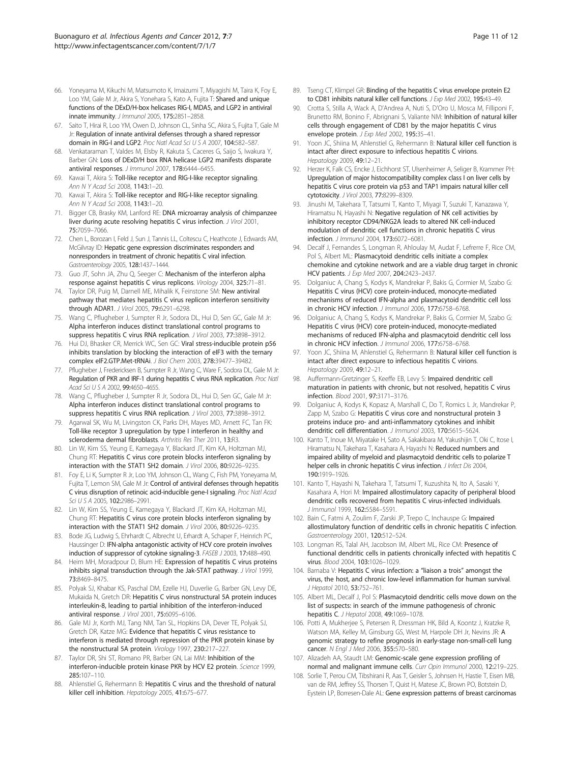- <span id="page-10-0"></span>66. Yoneyama M, Kikuchi M, Matsumoto K, Imaizumi T, Miyagishi M, Taira K, Foy E, Loo YM, Gale M Jr, Akira S, Yonehara S, Kato A, Fujita T: Shared and unique functions of the DExD/H-box helicases RIG-I, MDA5, and LGP2 in antiviral innate immunity. J Immunol 2005, 175:2851–2858.
- 67. Saito T, Hirai R, Loo YM, Owen D, Johnson CL, Sinha SC, Akira S, Fujita T, Gale M Jr: Regulation of innate antiviral defenses through a shared repressor domain in RIG-I and LGP2. Proc Natl Acad Sci U S A 2007, 104:582–587.
- 68. Venkataraman T, Valdes M, Elsby R, Kakuta S, Caceres G, Saijo S, Iwakura Y, Barber GN: Loss of DExD/H box RNA helicase LGP2 manifests disparate antiviral responses. J Immunol 2007, 178:6444–6455.
- Kawai T, Akira S: Toll-like receptor and RIG-I-like receptor signaling. Ann N Y Acad Sci 2008, 1143:1–20.
- 70. Kawai T, Akira S: Toll-like receptor and RIG-I-like receptor signaling. Ann N Y Acad Sci 2008, 1143:1–20.
- 71. Bigger CB, Brasky KM, Lanford RE: DNA microarray analysis of chimpanzee liver during acute resolving hepatitis C virus infection. J Virol 2001, 75:7059–7066.
- 72. Chen L, Borozan I, Feld J, Sun J, Tannis LL, Coltescu C, Heathcote J, Edwards AM, McGilvray ID: Hepatic gene expression discriminates responders and nonresponders in treatment of chronic hepatitis C viral infection. Gastroenterology 2005, 128:1437–1444.
- 73. Guo JT, Sohn JA, Zhu Q, Seeger C: Mechanism of the interferon alpha response against hepatitis C virus replicons. Virology 2004, 325:71–81.
- 74. Taylor DR, Puig M, Darnell ME, Mihalik K, Feinstone SM: New antiviral pathway that mediates hepatitis C virus replicon interferon sensitivity through ADAR1. J Virol 2005, 79:6291–6298.
- 75. Wang C, Pflugheber J, Sumpter R Jr, Sodora DL, Hui D, Sen GC, Gale M Jr: Alpha interferon induces distinct translational control programs to suppress hepatitis C virus RNA replication. J Virol 2003, 77:3898–3912.
- 76. Hui DJ, Bhasker CR, Merrick WC, Sen GC: Viral stress-inducible protein p56 inhibits translation by blocking the interaction of eIF3 with the ternary complex eIF2.GTP.Met-tRNAi. J Biol Chem 2003, 278:39477–39482.
- 77. Pflugheber J, Fredericksen B, Sumpter R Jr, Wang C, Ware F, Sodora DL, Gale M Jr: Regulation of PKR and IRF-1 during hepatitis C virus RNA replication. Proc Natl Acad Sci U S A 2002, 99:4650-4655.
- 78. Wang C, Pflugheber J, Sumpter R Jr, Sodora DL, Hui D, Sen GC, Gale M Jr: Alpha interferon induces distinct translational control programs to suppress hepatitis C virus RNA replication. J Virol 2003, 77:3898–3912.
- 79. Agarwal SK, Wu M, Livingston CK, Parks DH, Mayes MD, Arnett FC, Tan FK: Toll-like receptor 3 upregulation by type I interferon in healthy and scleroderma dermal fibroblasts. Arthritis Res Ther 2011, 13:R3.
- 80. Lin W, Kim SS, Yeung E, Kamegaya Y, Blackard JT, Kim KA, Holtzman MJ, Chung RT: Hepatitis C virus core protein blocks interferon signaling by interaction with the STAT1 SH2 domain. J Virol 2006, 80:9226–9235.
- 81. Foy E, Li K, Sumpter R Jr, Loo YM, Johnson CL, Wang C, Fish PM, Yoneyama M, Fujita T, Lemon SM, Gale M Jr: Control of antiviral defenses through hepatitis C virus disruption of retinoic acid-inducible gene-I signaling. Proc Natl Acad Sci U S A 2005, 102:2986–2991.
- 82. Lin W, Kim SS, Yeung E, Kamegaya Y, Blackard JT, Kim KA, Holtzman MJ, Chung RT: Hepatitis C virus core protein blocks interferon signaling by interaction with the STAT1 SH2 domain. J Virol 2006, 80:9226–9235.
- 83. Bode JG, Ludwig S, Ehrhardt C, Albrecht U, Erhardt A, Schaper F, Heinrich PC, Haussinger D: IFN-alpha antagonistic activity of HCV core protein involves induction of suppressor of cytokine signaling-3. FASEB J 2003, 17:488–490.
- 84. Heim MH, Moradpour D, Blum HE: Expression of hepatitis C virus proteins inhibits signal transduction through the Jak-STAT pathway. J Virol 1999, 73:8469–8475.
- 85. Polyak SJ, Khabar KS, Paschal DM, Ezelle HJ, Duverlie G, Barber GN, Levy DE, Mukaida N, Gretch DR: Hepatitis C virus nonstructural 5A protein induces interleukin-8, leading to partial inhibition of the interferon-induced antiviral response. J Virol 2001, 75:6095–6106.
- 86. Gale MJ Jr, Korth MJ, Tang NM, Tan SL, Hopkins DA, Dever TE, Polyak SJ, Gretch DR, Katze MG: Evidence that hepatitis C virus resistance to interferon is mediated through repression of the PKR protein kinase by the nonstructural 5A protein. Virology 1997, 230:217–227.
- 87. Taylor DR, Shi ST, Romano PR, Barber GN, Lai MM: Inhibition of the interferon-inducible protein kinase PKR by HCV E2 protein. Science 1999, 285:107–110.
- Ahlenstiel G, Rehermann B: Hepatitis C virus and the threshold of natural killer cell inhibition. Hepatology 2005, 41:675–677.
- 89. Tseng CT, Klimpel GR: Binding of the hepatitis C virus envelope protein E2 to CD81 inhibits natural killer cell functions. J Exp Med 2002, 195:43-49.
- 90. Crotta S, Stilla A, Wack A, D'Andrea A, Nuti S, D'Oro U, Mosca M, Filliponi F, Brunetto RM, Bonino F, Abrignani S, Valiante NM: Inhibition of natural killer cells through engagement of CD81 by the major hepatitis C virus envelope protein. J Exp Med 2002, 195:35-41.
- 91. Yoon JC, Shiina M, Ahlenstiel G, Rehermann B: Natural killer cell function is intact after direct exposure to infectious hepatitis C virions. Hepatology 2009, 49:12–21.
- 92. Herzer K, Falk CS, Encke J, Eichhorst ST, Ulsenheimer A, Seliger B, Krammer PH: Upregulation of major histocompatibility complex class I on liver cells by hepatitis C virus core protein via p53 and TAP1 impairs natural killer cell cytotoxicity. J Virol 2003, 77:8299–8309.
- 93. Jinushi M, Takehara T, Tatsumi T, Kanto T, Miyagi T, Suzuki T, Kanazawa Y, Hiramatsu N, Hayashi N: Negative regulation of NK cell activities by inhibitory receptor CD94/NKG2A leads to altered NK cell-induced modulation of dendritic cell functions in chronic hepatitis C virus infection. J Immunol 2004, 173:6072–6081.
- 94. Decalf J, Fernandes S, Longman R, Ahloulay M, Audat F, Lefrerre F, Rice CM, Pol S, Albert ML: Plasmacytoid dendritic cells initiate a complex chemokine and cytokine network and are a viable drug target in chronic HCV patients. J Exp Med 2007, 204:2423–2437.
- 95. Dolganiuc A, Chang S, Kodys K, Mandrekar P, Bakis G, Cormier M, Szabo G: Hepatitis C virus (HCV) core protein-induced, monocyte-mediated mechanisms of reduced IFN-alpha and plasmacytoid dendritic cell loss in chronic HCV infection. J Immunol 2006, 177:6758–6768.
- 96. Dolganiuc A, Chang S, Kodys K, Mandrekar P, Bakis G, Cormier M, Szabo G: Hepatitis C virus (HCV) core protein-induced, monocyte-mediated mechanisms of reduced IFN-alpha and plasmacytoid dendritic cell loss in chronic HCV infection. J Immunol 2006, 177:6758–6768.
- 97. Yoon JC, Shiina M, Ahlenstiel G, Rehermann B: Natural killer cell function is intact after direct exposure to infectious hepatitis C virions. Hepatology 2009, 49:12–21.
- 98. Auffermann-Gretzinger S, Keeffe EB, Levy S: Impaired dendritic cell maturation in patients with chronic, but not resolved, hepatitis C virus infection. Blood 2001, 97:3171–3176.
- 99. Dolganiuc A, Kodys K, Kopasz A, Marshall C, Do T, Romics L Jr, Mandrekar P, Zapp M, Szabo G: Hepatitis C virus core and nonstructural protein 3 proteins induce pro- and anti-inflammatory cytokines and inhibit dendritic cell differentiation. J Immunol 2003, 170:5615–5624.
- 100. Kanto T, Inoue M, Miyatake H, Sato A, Sakakibara M, Yakushijin T, Oki C, Itose I, Hiramatsu N, Takehara T, Kasahara A, Hayashi N: Reduced numbers and impaired ability of myeloid and plasmacytoid dendritic cells to polarize T helper cells in chronic hepatitis C virus infection. J Infect Dis 2004, 190:1919–1926.
- 101. Kanto T, Hayashi N, Takehara T, Tatsumi T, Kuzushita N, Ito A, Sasaki Y, Kasahara A, Hori M: Impaired allostimulatory capacity of peripheral blood dendritic cells recovered from hepatitis C virus-infected individuals. J Immunol 1999, 162:5584–5591.
- 102. Bain C, Fatmi A, Zoulim F, Zarski JP, Trepo C, Inchauspe G: Impaired allostimulatory function of dendritic cells in chronic hepatitis C infection. Gastroenterology 2001, 120:512–524.
- 103. Longman RS, Talal AH, Jacobson IM, Albert ML, Rice CM: Presence of functional dendritic cells in patients chronically infected with hepatitis C virus. Blood 2004, 103:1026–1029.
- 104. Barnaba V: Hepatitis C virus infection: a "liaison a trois" amongst the virus, the host, and chronic low-level inflammation for human survival. J Hepatol 2010, 53:752-761.
- 105. Albert ML, Decalf J, Pol S: Plasmacytoid dendritic cells move down on the list of suspects: in search of the immune pathogenesis of chronic hepatitis C. J Hepatol 2008, 49:1069–1078.
- 106. Potti A, Mukherjee S, Petersen R, Dressman HK, Bild A, Koontz J, Kratzke R, Watson MA, Kelley M, Ginsburg GS, West M, Harpole DH Jr, Nevins JR: A genomic strategy to refine prognosis in early-stage non-small-cell lung cancer. N Engl J Med 2006, 355:570–580.
- 107. Alizadeh AA, Staudt LM: Genomic-scale gene expression profiling of normal and malignant immune cells. Curr Opin Immunol 2000, 12:219-225.
- 108. Sorlie T, Perou CM, Tibshirani R, Aas T, Geisler S, Johnsen H, Hastie T, Eisen MB, van de RM, Jeffrey SS, Thorsen T, Quist H, Matese JC, Brown PO, Botstein D, Eystein LP, Borresen-Dale AL: Gene expression patterns of breast carcinomas